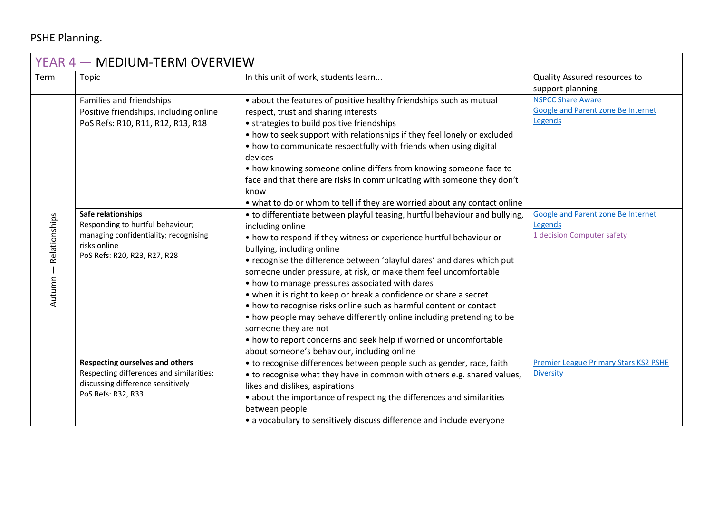## PSHE Planning.

| YEAR 4 – MEDIUM-TERM OVERVIEW |                                                                                                                                                 |                                                                                                                                                                                                                                                                                                                                                                                                                                                                                                                                                                                                                                                                                                                                                                         |                                                                                  |  |  |  |
|-------------------------------|-------------------------------------------------------------------------------------------------------------------------------------------------|-------------------------------------------------------------------------------------------------------------------------------------------------------------------------------------------------------------------------------------------------------------------------------------------------------------------------------------------------------------------------------------------------------------------------------------------------------------------------------------------------------------------------------------------------------------------------------------------------------------------------------------------------------------------------------------------------------------------------------------------------------------------------|----------------------------------------------------------------------------------|--|--|--|
| Term                          | Topic                                                                                                                                           | In this unit of work, students learn                                                                                                                                                                                                                                                                                                                                                                                                                                                                                                                                                                                                                                                                                                                                    | Quality Assured resources to<br>support planning                                 |  |  |  |
| Relationships<br>Autumn       | Families and friendships<br>Positive friendships, including online<br>PoS Refs: R10, R11, R12, R13, R18                                         | • about the features of positive healthy friendships such as mutual<br>respect, trust and sharing interests<br>• strategies to build positive friendships<br>• how to seek support with relationships if they feel lonely or excluded<br>• how to communicate respectfully with friends when using digital<br>devices<br>• how knowing someone online differs from knowing someone face to<br>face and that there are risks in communicating with someone they don't<br>know<br>• what to do or whom to tell if they are worried about any contact online                                                                                                                                                                                                               | <b>NSPCC Share Aware</b><br><b>Google and Parent zone Be Internet</b><br>Legends |  |  |  |
|                               | Safe relationships<br>Responding to hurtful behaviour;<br>managing confidentiality; recognising<br>risks online<br>PoS Refs: R20, R23, R27, R28 | • to differentiate between playful teasing, hurtful behaviour and bullying,<br>including online<br>• how to respond if they witness or experience hurtful behaviour or<br>bullying, including online<br>• recognise the difference between 'playful dares' and dares which put<br>someone under pressure, at risk, or make them feel uncomfortable<br>• how to manage pressures associated with dares<br>• when it is right to keep or break a confidence or share a secret<br>• how to recognise risks online such as harmful content or contact<br>• how people may behave differently online including pretending to be<br>someone they are not<br>• how to report concerns and seek help if worried or uncomfortable<br>about someone's behaviour, including online | Google and Parent zone Be Internet<br>Legends<br>1 decision Computer safety      |  |  |  |
|                               | <b>Respecting ourselves and others</b><br>Respecting differences and similarities;<br>discussing difference sensitively<br>PoS Refs: R32, R33   | • to recognise differences between people such as gender, race, faith<br>• to recognise what they have in common with others e.g. shared values,<br>likes and dislikes, aspirations<br>• about the importance of respecting the differences and similarities<br>between people<br>• a vocabulary to sensitively discuss difference and include everyone                                                                                                                                                                                                                                                                                                                                                                                                                 | <b>Premier League Primary Stars KS2 PSHE</b><br><b>Diversity</b>                 |  |  |  |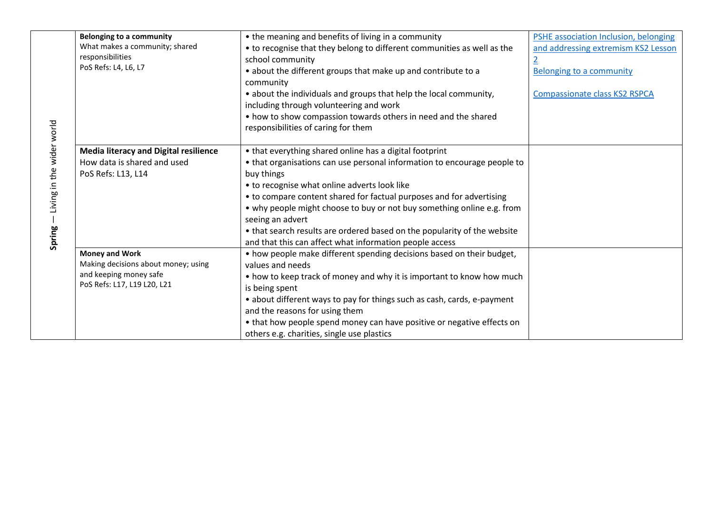|                           | <b>Belonging to a community</b>              | • the meaning and benefits of living in a community                      | PSHE association Inclusion, belonging |
|---------------------------|----------------------------------------------|--------------------------------------------------------------------------|---------------------------------------|
|                           | What makes a community; shared               | • to recognise that they belong to different communities as well as the  | and addressing extremism KS2 Lesson   |
|                           | responsibilities                             | school community                                                         |                                       |
|                           | PoS Refs: L4, L6, L7                         | • about the different groups that make up and contribute to a            | <b>Belonging to a community</b>       |
|                           |                                              | community                                                                |                                       |
|                           |                                              | • about the individuals and groups that help the local community,        | <b>Compassionate class KS2 RSPCA</b>  |
|                           |                                              | including through volunteering and work                                  |                                       |
|                           |                                              | • how to show compassion towards others in need and the shared           |                                       |
|                           |                                              | responsibilities of caring for them                                      |                                       |
|                           |                                              |                                                                          |                                       |
| Living in the wider world | <b>Media literacy and Digital resilience</b> | • that everything shared online has a digital footprint                  |                                       |
|                           | How data is shared and used                  | • that organisations can use personal information to encourage people to |                                       |
|                           | PoS Refs: L13, L14                           | buy things                                                               |                                       |
|                           |                                              | • to recognise what online adverts look like                             |                                       |
|                           |                                              | • to compare content shared for factual purposes and for advertising     |                                       |
|                           |                                              | • why people might choose to buy or not buy something online e.g. from   |                                       |
|                           |                                              | seeing an advert                                                         |                                       |
|                           |                                              | • that search results are ordered based on the popularity of the website |                                       |
| Spring                    |                                              | and that this can affect what information people access                  |                                       |
|                           | <b>Money and Work</b>                        | • how people make different spending decisions based on their budget,    |                                       |
|                           | Making decisions about money; using          | values and needs                                                         |                                       |
|                           | and keeping money safe                       | • how to keep track of money and why it is important to know how much    |                                       |
|                           | PoS Refs: L17, L19 L20, L21                  | is being spent                                                           |                                       |
|                           |                                              | • about different ways to pay for things such as cash, cards, e-payment  |                                       |
|                           |                                              | and the reasons for using them                                           |                                       |
|                           |                                              | • that how people spend money can have positive or negative effects on   |                                       |
|                           |                                              | others e.g. charities, single use plastics                               |                                       |